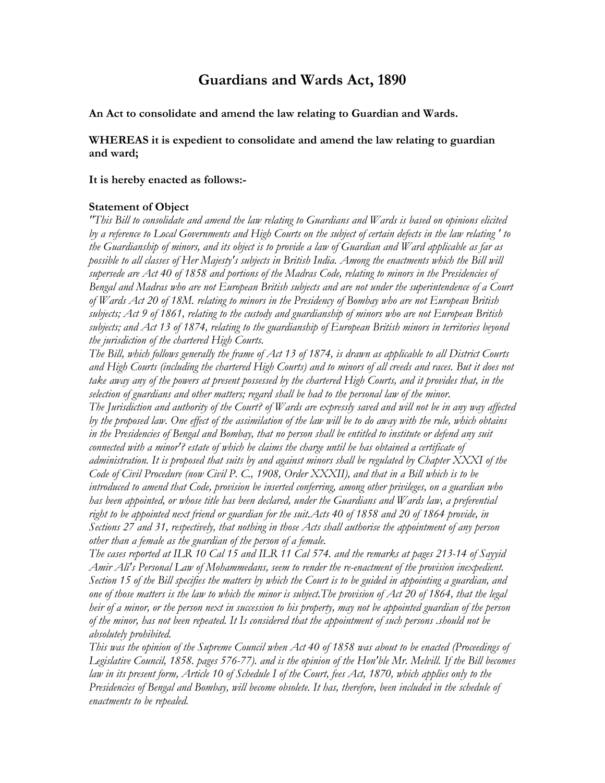# **Guardians and Wards Act, 1890**

**An Act to consolidate and amend the law relating to Guardian and Wards.** 

**WHEREAS it is expedient to consolidate and amend the law relating to guardian and ward;** 

#### **It is hereby enacted as follows:-**

#### **Statement of Object**

*"This Bill to consolidate and amend the law relating to Guardians and Wards is based on opinions elicited by a reference to Local Governments and High Courts on the subject of certain defects in the law relating ' to the Guardianship of minors, and its object is to provide a law of Guardian and Ward applicable as far as*  possible to all classes of Her Majesty's subjects in British India. Among the enactments which the Bill will *supersede are Act 40 of 1858 and portions of the Madras Code, relating to minors in the Presidencies of Bengal and Madras who are not European British subjects and are not under the superintendence of a Court of Wards Act 20 of 18M. relating to minors in the Presidency of Bombay who are not European British subjects; Act 9 of 1861, relating to the custody and guardianship of minors who are not European British subjects; and Act 13 of 1874, relating to the guardianship of European British minors in territories beyond the jurisdiction of the chartered High Courts.* 

*The Bill, which follows generally the frame of Act 13 of 1874, is drawn as applicable to all District Courts*  and High Courts (including the chartered High Courts) and to minors of all creeds and races. But it does not *take away any of the powers at present possessed by the chartered High Courts, and it provides that, in the selection of guardians and other matters; regard shall be had to the personal law of the minor. The Jurisdiction and authority of the Court? of Wards are expressly saved and will not be in any way affected by the proposed law. One effect of the assimilation of the law will be to do away with the rule, which obtains in the Presidencies of Bengal and Bombay, that no person shall be entitled to institute or defend any suit connected with a minor'? estate of which he claims the charge until he has obtained a certificate of administration. It is proposed that suits by and against minors shall be regulated by Chapter XXXI of the Code of Civil Procedure (now Civil P. C., 1908, Order XXXII), and that in a Bill which is to be introduced to amend that Code, provision be inserted conferring, among other privileges, on a guardian who has been appointed, or whose title has been declared, under the Guardians and Wards law, a preferential right to be appointed next friend or guardian for the suit.Acts 40 of 1858 and 20 of 1864 provide, in Sections 27 and 31, respectively, that nothing in those Acts shall authorise the appointment of any person other than a female as the guardian of the person of a female.* 

*The cases reported at ILR 10 Cal 15 and ILR 11 Cal 574. and the remarks at pages 213-14 of Sayyid Amir Ali's Personal Law of Mohammedans, seem to render the re-enactment of the provision inexpedient. Section 15 of the Bill specifies the matters by which the Court is to be guided in appointing a guardian, and one of those matters is the law to which the minor is subject.The provision of Act 20 of 1864, that the legal heir of a minor, or the person next in succession to his property, may not be appointed guardian of the person of the minor, has not been repeated. It Is considered that the appointment of such persons .should not be absolutely prohibited.* 

*This was the opinion of the Supreme Council when Act 40 of 1858 was about to be enacted (Proceedings of Legislative Council, 1858. pages 576-77). and is the opinion of the Hon'ble Mr. Melvill. If the Bill becomes law in its present form, Article 10 of Schedule I of the Court, fees Act, 1870, which applies only to the Presidencies of Bengal and Bombay, will become obsolete. It has, therefore, been included in the schedule of enactments to be repealed.*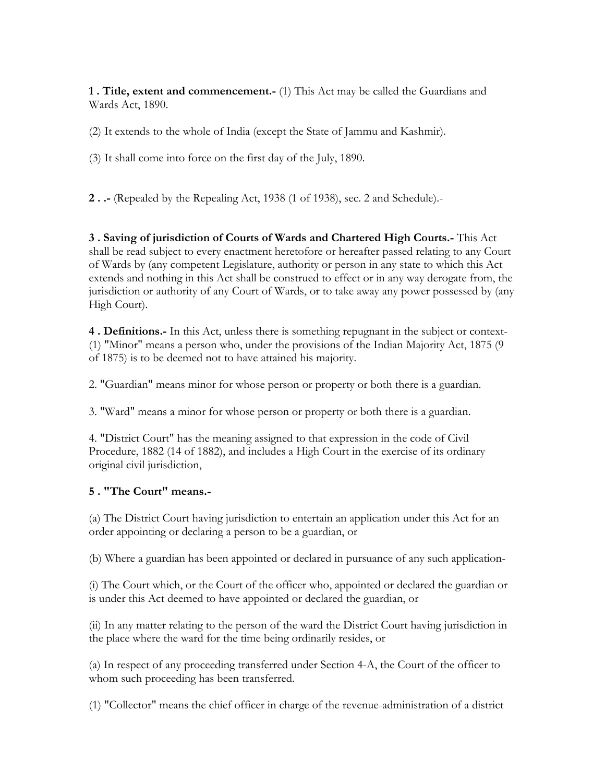**1 . Title, extent and commencement.-** (1) This Act may be called the Guardians and Wards Act, 1890.

(2) It extends to the whole of India (except the State of Jammu and Kashmir).

(3) It shall come into force on the first day of the July, 1890.

**2 . .-** (Repealed by the Repealing Act, 1938 (1 of 1938), sec. 2 and Schedule).-

**3 . Saving of jurisdiction of Courts of Wards and Chartered High Courts.-** This Act shall be read subject to every enactment heretofore or hereafter passed relating to any Court of Wards by (any competent Legislature, authority or person in any state to which this Act extends and nothing in this Act shall be construed to effect or in any way derogate from, the jurisdiction or authority of any Court of Wards, or to take away any power possessed by (any High Court).

**4 . Definitions.-** In this Act, unless there is something repugnant in the subject or context- (1) "Minor" means a person who, under the provisions of the Indian Majority Act, 1875 (9 of 1875) is to be deemed not to have attained his majority.

2. "Guardian" means minor for whose person or property or both there is a guardian.

3. "Ward" means a minor for whose person or property or both there is a guardian.

4. "District Court" has the meaning assigned to that expression in the code of Civil Procedure, 1882 (14 of 1882), and includes a High Court in the exercise of its ordinary original civil jurisdiction,

# **5 . "The Court" means.-**

(a) The District Court having jurisdiction to entertain an application under this Act for an order appointing or declaring a person to be a guardian, or

(b) Where a guardian has been appointed or declared in pursuance of any such application-

(i) The Court which, or the Court of the officer who, appointed or declared the guardian or is under this Act deemed to have appointed or declared the guardian, or

(ii) In any matter relating to the person of the ward the District Court having jurisdiction in the place where the ward for the time being ordinarily resides, or

(a) In respect of any proceeding transferred under Section 4-A, the Court of the officer to whom such proceeding has been transferred.

(1) "Collector" means the chief officer in charge of the revenue-administration of a district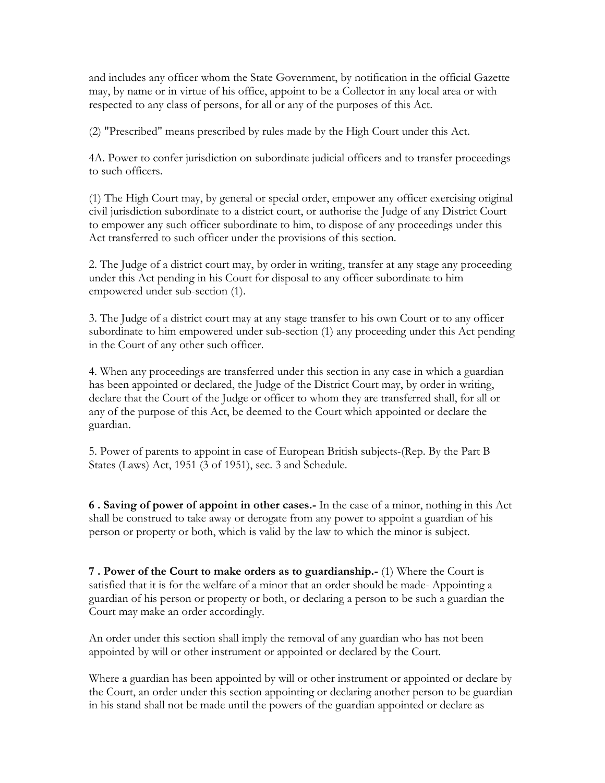and includes any officer whom the State Government, by notification in the official Gazette may, by name or in virtue of his office, appoint to be a Collector in any local area or with respected to any class of persons, for all or any of the purposes of this Act.

(2) "Prescribed" means prescribed by rules made by the High Court under this Act.

4A. Power to confer jurisdiction on subordinate judicial officers and to transfer proceedings to such officers.

(1) The High Court may, by general or special order, empower any officer exercising original civil jurisdiction subordinate to a district court, or authorise the Judge of any District Court to empower any such officer subordinate to him, to dispose of any proceedings under this Act transferred to such officer under the provisions of this section.

2. The Judge of a district court may, by order in writing, transfer at any stage any proceeding under this Act pending in his Court for disposal to any officer subordinate to him empowered under sub-section (1).

3. The Judge of a district court may at any stage transfer to his own Court or to any officer subordinate to him empowered under sub-section (1) any proceeding under this Act pending in the Court of any other such officer.

4. When any proceedings are transferred under this section in any case in which a guardian has been appointed or declared, the Judge of the District Court may, by order in writing, declare that the Court of the Judge or officer to whom they are transferred shall, for all or any of the purpose of this Act, be deemed to the Court which appointed or declare the guardian.

5. Power of parents to appoint in case of European British subjects-(Rep. By the Part B States (Laws) Act, 1951 (3 of 1951), sec. 3 and Schedule.

**6 . Saving of power of appoint in other cases.-** In the case of a minor, nothing in this Act shall be construed to take away or derogate from any power to appoint a guardian of his person or property or both, which is valid by the law to which the minor is subject.

**7 . Power of the Court to make orders as to guardianship.-** (1) Where the Court is satisfied that it is for the welfare of a minor that an order should be made- Appointing a guardian of his person or property or both, or declaring a person to be such a guardian the Court may make an order accordingly.

An order under this section shall imply the removal of any guardian who has not been appointed by will or other instrument or appointed or declared by the Court.

Where a guardian has been appointed by will or other instrument or appointed or declare by the Court, an order under this section appointing or declaring another person to be guardian in his stand shall not be made until the powers of the guardian appointed or declare as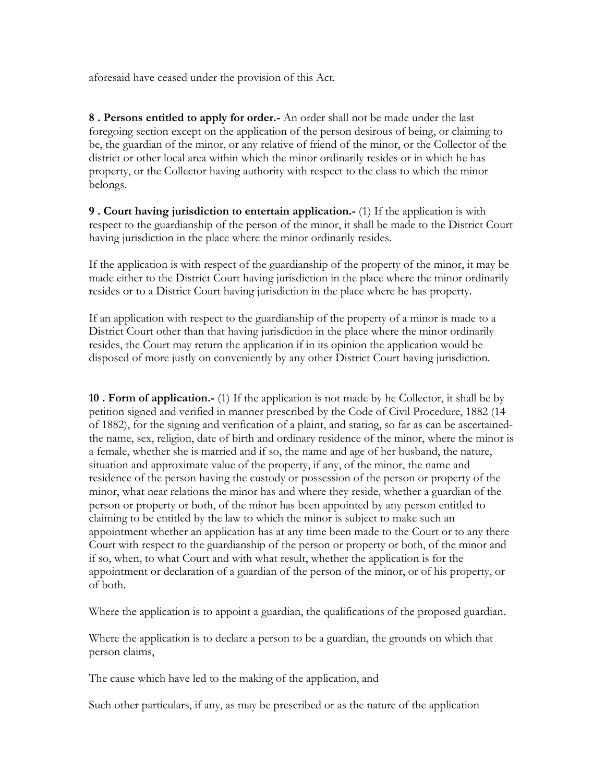aforesaid have ceased under the provision of this Act.

**8 . Persons entitled to apply for order.-** An order shall not be made under the last foregoing section except on the application of the person desirous of being, or claiming to be, the guardian of the minor, or any relative of friend of the minor, or the Collector of the district or other local area within which the minor ordinarily resides or in which he has property, or the Collector having authority with respect to the class to which the minor belongs.

**9 . Court having jurisdiction to entertain application.-** (1) If the application is with respect to the guardianship of the person of the minor, it shall be made to the District Court having jurisdiction in the place where the minor ordinarily resides.

If the application is with respect of the guardianship of the property of the minor, it may be made either to the District Court having jurisdiction in the place where the minor ordinarily resides or to a District Court having jurisdiction in the place where he has property.

If an application with respect to the guardianship of the property of a minor is made to a District Court other than that having jurisdiction in the place where the minor ordinarily resides, the Court may return the application if in its opinion the application would be disposed of more justly on conveniently by any other District Court having jurisdiction.

**10 . Form of application.-** (1) If the application is not made by he Collector, it shall be by petition signed and verified in manner prescribed by the Code of Civil Procedure, 1882 (14 of 1882), for the signing and verification of a plaint, and stating, so far as can be ascertainedthe name, sex, religion, date of birth and ordinary residence of the minor, where the minor is a female, whether she is married and if so, the name and age of her husband, the nature, situation and approximate value of the property, if any, of the minor, the name and residence of the person having the custody or possession of the person or property of the minor, what near relations the minor has and where they reside, whether a guardian of the person or property or both, of the minor has been appointed by any person entitled to claiming to be entitled by the law to which the minor is subject to make such an appointment whether an application has at any time been made to the Court or to any there Court with respect to the guardianship of the person or property or both, of the minor and if so, when, to what Court and with what result, whether the application is for the appointment or declaration of a guardian of the person of the minor, or of his property, or of both.

Where the application is to appoint a guardian, the qualifications of the proposed guardian.

Where the application is to declare a person to be a guardian, the grounds on which that person claims,

The cause which have led to the making of the application, and

Such other particulars, if any, as may be prescribed or as the nature of the application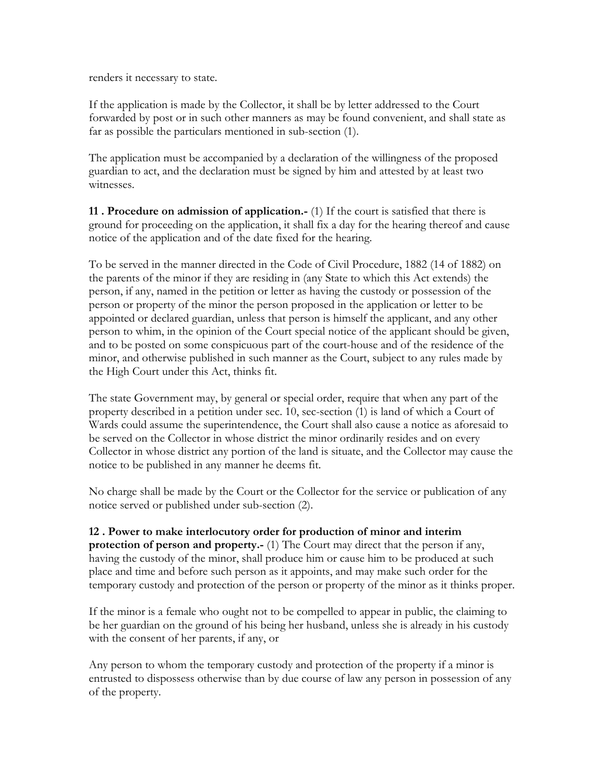renders it necessary to state.

If the application is made by the Collector, it shall be by letter addressed to the Court forwarded by post or in such other manners as may be found convenient, and shall state as far as possible the particulars mentioned in sub-section (1).

The application must be accompanied by a declaration of the willingness of the proposed guardian to act, and the declaration must be signed by him and attested by at least two witnesses.

**11 . Procedure on admission of application.-** (1) If the court is satisfied that there is ground for proceeding on the application, it shall fix a day for the hearing thereof and cause notice of the application and of the date fixed for the hearing.

To be served in the manner directed in the Code of Civil Procedure, 1882 (14 of 1882) on the parents of the minor if they are residing in (any State to which this Act extends) the person, if any, named in the petition or letter as having the custody or possession of the person or property of the minor the person proposed in the application or letter to be appointed or declared guardian, unless that person is himself the applicant, and any other person to whim, in the opinion of the Court special notice of the applicant should be given, and to be posted on some conspicuous part of the court-house and of the residence of the minor, and otherwise published in such manner as the Court, subject to any rules made by the High Court under this Act, thinks fit.

The state Government may, by general or special order, require that when any part of the property described in a petition under sec. 10, sec-section (1) is land of which a Court of Wards could assume the superintendence, the Court shall also cause a notice as aforesaid to be served on the Collector in whose district the minor ordinarily resides and on every Collector in whose district any portion of the land is situate, and the Collector may cause the notice to be published in any manner he deems fit.

No charge shall be made by the Court or the Collector for the service or publication of any notice served or published under sub-section (2).

## **12 . Power to make interlocutory order for production of minor and interim**

**protection of person and property.**- (1) The Court may direct that the person if any, having the custody of the minor, shall produce him or cause him to be produced at such place and time and before such person as it appoints, and may make such order for the temporary custody and protection of the person or property of the minor as it thinks proper.

If the minor is a female who ought not to be compelled to appear in public, the claiming to be her guardian on the ground of his being her husband, unless she is already in his custody with the consent of her parents, if any, or

Any person to whom the temporary custody and protection of the property if a minor is entrusted to dispossess otherwise than by due course of law any person in possession of any of the property.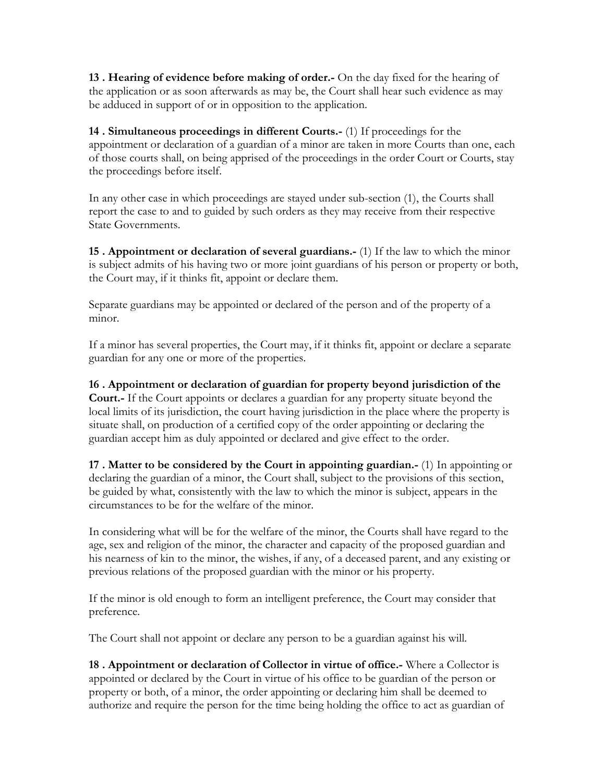**13 . Hearing of evidence before making of order.-** On the day fixed for the hearing of the application or as soon afterwards as may be, the Court shall hear such evidence as may be adduced in support of or in opposition to the application.

**14 . Simultaneous proceedings in different Courts.-** (1) If proceedings for the appointment or declaration of a guardian of a minor are taken in more Courts than one, each of those courts shall, on being apprised of the proceedings in the order Court or Courts, stay the proceedings before itself.

In any other case in which proceedings are stayed under sub-section (1), the Courts shall report the case to and to guided by such orders as they may receive from their respective State Governments.

**15 . Appointment or declaration of several guardians.-** (1) If the law to which the minor is subject admits of his having two or more joint guardians of his person or property or both, the Court may, if it thinks fit, appoint or declare them.

Separate guardians may be appointed or declared of the person and of the property of a minor.

If a minor has several properties, the Court may, if it thinks fit, appoint or declare a separate guardian for any one or more of the properties.

**16 . Appointment or declaration of guardian for property beyond jurisdiction of the Court.-** If the Court appoints or declares a guardian for any property situate beyond the local limits of its jurisdiction, the court having jurisdiction in the place where the property is situate shall, on production of a certified copy of the order appointing or declaring the guardian accept him as duly appointed or declared and give effect to the order.

**17 . Matter to be considered by the Court in appointing guardian.-** (1) In appointing or declaring the guardian of a minor, the Court shall, subject to the provisions of this section, be guided by what, consistently with the law to which the minor is subject, appears in the circumstances to be for the welfare of the minor.

In considering what will be for the welfare of the minor, the Courts shall have regard to the age, sex and religion of the minor, the character and capacity of the proposed guardian and his nearness of kin to the minor, the wishes, if any, of a deceased parent, and any existing or previous relations of the proposed guardian with the minor or his property.

If the minor is old enough to form an intelligent preference, the Court may consider that preference.

The Court shall not appoint or declare any person to be a guardian against his will.

**18 . Appointment or declaration of Collector in virtue of office.-** Where a Collector is appointed or declared by the Court in virtue of his office to be guardian of the person or property or both, of a minor, the order appointing or declaring him shall be deemed to authorize and require the person for the time being holding the office to act as guardian of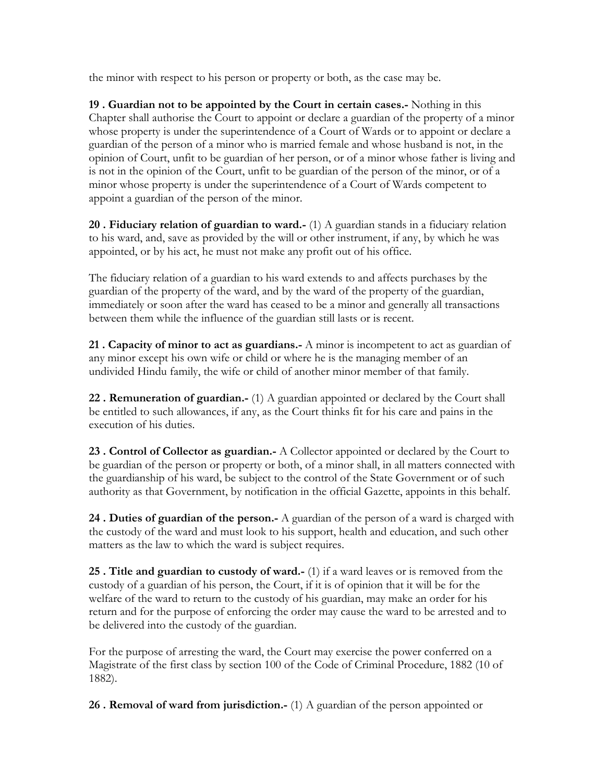the minor with respect to his person or property or both, as the case may be.

**19 . Guardian not to be appointed by the Court in certain cases.-** Nothing in this Chapter shall authorise the Court to appoint or declare a guardian of the property of a minor whose property is under the superintendence of a Court of Wards or to appoint or declare a guardian of the person of a minor who is married female and whose husband is not, in the opinion of Court, unfit to be guardian of her person, or of a minor whose father is living and is not in the opinion of the Court, unfit to be guardian of the person of the minor, or of a minor whose property is under the superintendence of a Court of Wards competent to appoint a guardian of the person of the minor.

**20 . Fiduciary relation of guardian to ward.-** (1) A guardian stands in a fiduciary relation to his ward, and, save as provided by the will or other instrument, if any, by which he was appointed, or by his act, he must not make any profit out of his office.

The fiduciary relation of a guardian to his ward extends to and affects purchases by the guardian of the property of the ward, and by the ward of the property of the guardian, immediately or soon after the ward has ceased to be a minor and generally all transactions between them while the influence of the guardian still lasts or is recent.

**21 . Capacity of minor to act as guardians.-** A minor is incompetent to act as guardian of any minor except his own wife or child or where he is the managing member of an undivided Hindu family, the wife or child of another minor member of that family.

**22 . Remuneration of guardian.-** (1) A guardian appointed or declared by the Court shall be entitled to such allowances, if any, as the Court thinks fit for his care and pains in the execution of his duties.

**23 . Control of Collector as guardian.-** A Collector appointed or declared by the Court to be guardian of the person or property or both, of a minor shall, in all matters connected with the guardianship of his ward, be subject to the control of the State Government or of such authority as that Government, by notification in the official Gazette, appoints in this behalf.

**24 . Duties of guardian of the person.-** A guardian of the person of a ward is charged with the custody of the ward and must look to his support, health and education, and such other matters as the law to which the ward is subject requires.

**25 . Title and guardian to custody of ward.-** (1) if a ward leaves or is removed from the custody of a guardian of his person, the Court, if it is of opinion that it will be for the welfare of the ward to return to the custody of his guardian, may make an order for his return and for the purpose of enforcing the order may cause the ward to be arrested and to be delivered into the custody of the guardian.

For the purpose of arresting the ward, the Court may exercise the power conferred on a Magistrate of the first class by section 100 of the Code of Criminal Procedure, 1882 (10 of 1882).

**26 . Removal of ward from jurisdiction.-** (1) A guardian of the person appointed or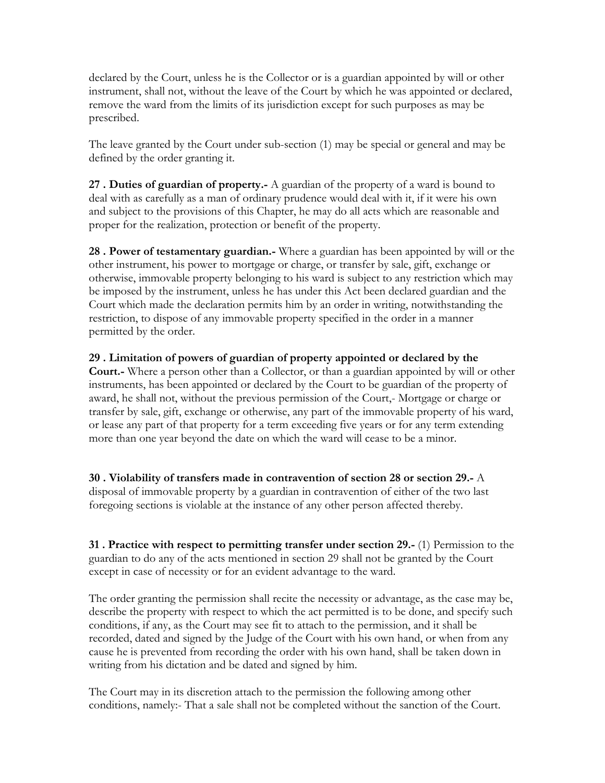declared by the Court, unless he is the Collector or is a guardian appointed by will or other instrument, shall not, without the leave of the Court by which he was appointed or declared, remove the ward from the limits of its jurisdiction except for such purposes as may be prescribed.

The leave granted by the Court under sub-section (1) may be special or general and may be defined by the order granting it.

**27 . Duties of guardian of property.-** A guardian of the property of a ward is bound to deal with as carefully as a man of ordinary prudence would deal with it, if it were his own and subject to the provisions of this Chapter, he may do all acts which are reasonable and proper for the realization, protection or benefit of the property.

**28 . Power of testamentary guardian.-** Where a guardian has been appointed by will or the other instrument, his power to mortgage or charge, or transfer by sale, gift, exchange or otherwise, immovable property belonging to his ward is subject to any restriction which may be imposed by the instrument, unless he has under this Act been declared guardian and the Court which made the declaration permits him by an order in writing, notwithstanding the restriction, to dispose of any immovable property specified in the order in a manner permitted by the order.

**29 . Limitation of powers of guardian of property appointed or declared by the Court.-** Where a person other than a Collector, or than a guardian appointed by will or other instruments, has been appointed or declared by the Court to be guardian of the property of award, he shall not, without the previous permission of the Court,- Mortgage or charge or transfer by sale, gift, exchange or otherwise, any part of the immovable property of his ward, or lease any part of that property for a term exceeding five years or for any term extending more than one year beyond the date on which the ward will cease to be a minor.

**30 . Violability of transfers made in contravention of section 28 or section 29.-** A disposal of immovable property by a guardian in contravention of either of the two last foregoing sections is violable at the instance of any other person affected thereby.

**31. Practice with respect to permitting transfer under section 29.-** (1) Permission to the guardian to do any of the acts mentioned in section 29 shall not be granted by the Court except in case of necessity or for an evident advantage to the ward.

The order granting the permission shall recite the necessity or advantage, as the case may be, describe the property with respect to which the act permitted is to be done, and specify such conditions, if any, as the Court may see fit to attach to the permission, and it shall be recorded, dated and signed by the Judge of the Court with his own hand, or when from any cause he is prevented from recording the order with his own hand, shall be taken down in writing from his dictation and be dated and signed by him.

The Court may in its discretion attach to the permission the following among other conditions, namely:- That a sale shall not be completed without the sanction of the Court.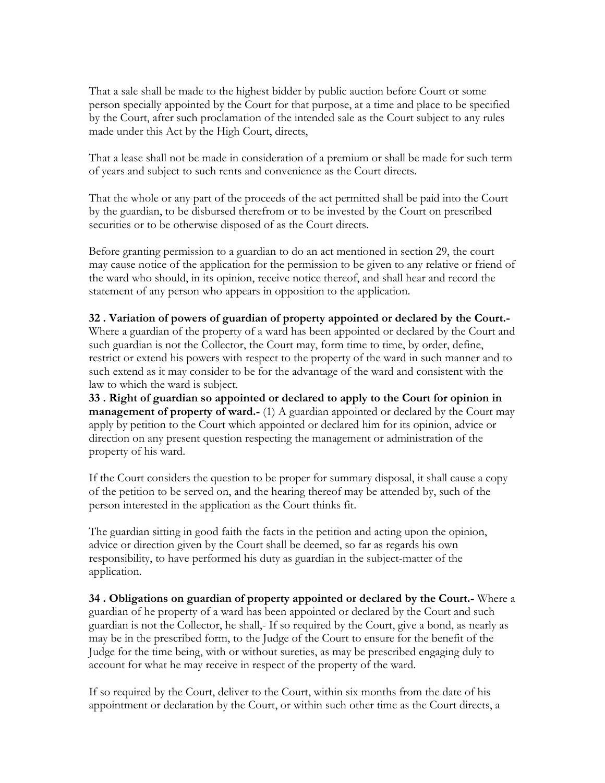That a sale shall be made to the highest bidder by public auction before Court or some person specially appointed by the Court for that purpose, at a time and place to be specified by the Court, after such proclamation of the intended sale as the Court subject to any rules made under this Act by the High Court, directs,

That a lease shall not be made in consideration of a premium or shall be made for such term of years and subject to such rents and convenience as the Court directs.

That the whole or any part of the proceeds of the act permitted shall be paid into the Court by the guardian, to be disbursed therefrom or to be invested by the Court on prescribed securities or to be otherwise disposed of as the Court directs.

Before granting permission to a guardian to do an act mentioned in section 29, the court may cause notice of the application for the permission to be given to any relative or friend of the ward who should, in its opinion, receive notice thereof, and shall hear and record the statement of any person who appears in opposition to the application.

## **32 . Variation of powers of guardian of property appointed or declared by the Court.-**

Where a guardian of the property of a ward has been appointed or declared by the Court and such guardian is not the Collector, the Court may, form time to time, by order, define, restrict or extend his powers with respect to the property of the ward in such manner and to such extend as it may consider to be for the advantage of the ward and consistent with the law to which the ward is subject.

**33 . Right of guardian so appointed or declared to apply to the Court for opinion in management of property of ward.-** (1) A guardian appointed or declared by the Court may apply by petition to the Court which appointed or declared him for its opinion, advice or direction on any present question respecting the management or administration of the property of his ward.

If the Court considers the question to be proper for summary disposal, it shall cause a copy of the petition to be served on, and the hearing thereof may be attended by, such of the person interested in the application as the Court thinks fit.

The guardian sitting in good faith the facts in the petition and acting upon the opinion, advice or direction given by the Court shall be deemed, so far as regards his own responsibility, to have performed his duty as guardian in the subject-matter of the application.

**34 . Obligations on guardian of property appointed or declared by the Court.-** Where a guardian of he property of a ward has been appointed or declared by the Court and such guardian is not the Collector, he shall,- If so required by the Court, give a bond, as nearly as may be in the prescribed form, to the Judge of the Court to ensure for the benefit of the Judge for the time being, with or without sureties, as may be prescribed engaging duly to account for what he may receive in respect of the property of the ward.

If so required by the Court, deliver to the Court, within six months from the date of his appointment or declaration by the Court, or within such other time as the Court directs, a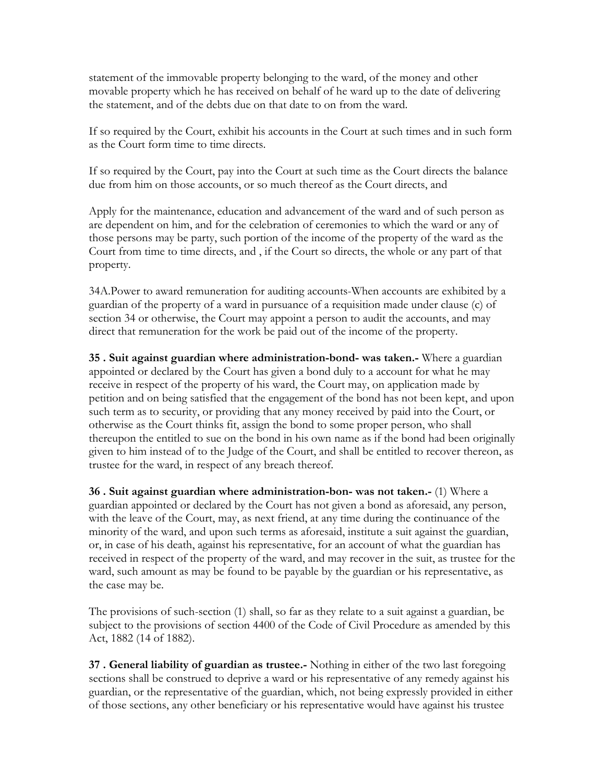statement of the immovable property belonging to the ward, of the money and other movable property which he has received on behalf of he ward up to the date of delivering the statement, and of the debts due on that date to on from the ward.

If so required by the Court, exhibit his accounts in the Court at such times and in such form as the Court form time to time directs.

If so required by the Court, pay into the Court at such time as the Court directs the balance due from him on those accounts, or so much thereof as the Court directs, and

Apply for the maintenance, education and advancement of the ward and of such person as are dependent on him, and for the celebration of ceremonies to which the ward or any of those persons may be party, such portion of the income of the property of the ward as the Court from time to time directs, and , if the Court so directs, the whole or any part of that property.

34A.Power to award remuneration for auditing accounts-When accounts are exhibited by a guardian of the property of a ward in pursuance of a requisition made under clause (c) of section 34 or otherwise, the Court may appoint a person to audit the accounts, and may direct that remuneration for the work be paid out of the income of the property.

**35 . Suit against guardian where administration-bond- was taken.-** Where a guardian appointed or declared by the Court has given a bond duly to a account for what he may receive in respect of the property of his ward, the Court may, on application made by petition and on being satisfied that the engagement of the bond has not been kept, and upon such term as to security, or providing that any money received by paid into the Court, or otherwise as the Court thinks fit, assign the bond to some proper person, who shall thereupon the entitled to sue on the bond in his own name as if the bond had been originally given to him instead of to the Judge of the Court, and shall be entitled to recover thereon, as trustee for the ward, in respect of any breach thereof.

**36 . Suit against guardian where administration-bon- was not taken.-** (1) Where a guardian appointed or declared by the Court has not given a bond as aforesaid, any person, with the leave of the Court, may, as next friend, at any time during the continuance of the minority of the ward, and upon such terms as aforesaid, institute a suit against the guardian, or, in case of his death, against his representative, for an account of what the guardian has received in respect of the property of the ward, and may recover in the suit, as trustee for the ward, such amount as may be found to be payable by the guardian or his representative, as the case may be.

The provisions of such-section (1) shall, so far as they relate to a suit against a guardian, be subject to the provisions of section 4400 of the Code of Civil Procedure as amended by this Act, 1882 (14 of 1882).

**37 . General liability of guardian as trustee.-** Nothing in either of the two last foregoing sections shall be construed to deprive a ward or his representative of any remedy against his guardian, or the representative of the guardian, which, not being expressly provided in either of those sections, any other beneficiary or his representative would have against his trustee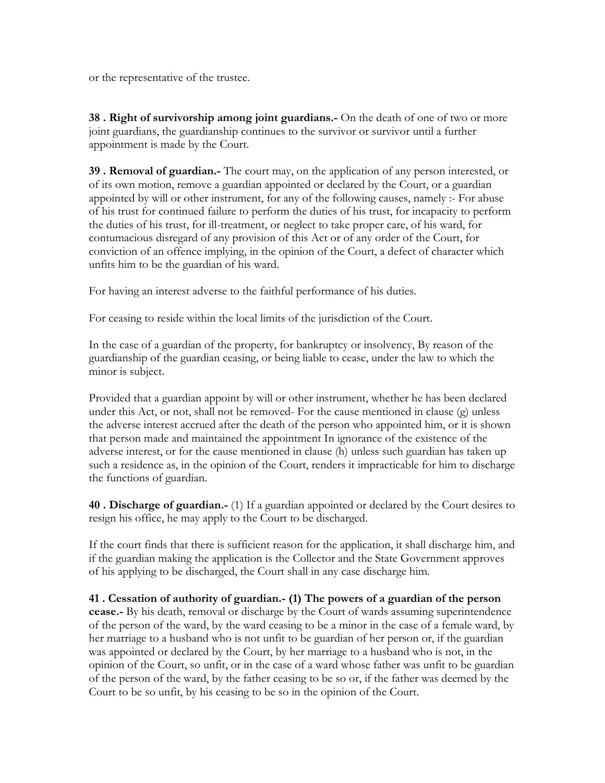or the representative of the trustee.

**38 . Right of survivorship among joint guardians.-** On the death of one of two or more joint guardians, the guardianship continues to the survivor or survivor until a further appointment is made by the Court.

**39 . Removal of guardian.-** The court may, on the application of any person interested, or of its own motion, remove a guardian appointed or declared by the Court, or a guardian appointed by will or other instrument, for any of the following causes, namely :- For abuse of his trust for continued failure to perform the duties of his trust, for incapacity to perform the duties of his trust, for ill-treatment, or neglect to take proper care, of his ward, for contumacious disregard of any provision of this Act or of any order of the Court, for conviction of an offence implying, in the opinion of the Court, a defect of character which unfits him to be the guardian of his ward.

For having an interest adverse to the faithful performance of his duties.

For ceasing to reside within the local limits of the jurisdiction of the Court.

In the case of a guardian of the property, for bankruptcy or insolvency, By reason of the guardianship of the guardian ceasing, or being liable to cease, under the law to which the minor is subject.

Provided that a guardian appoint by will or other instrument, whether he has been declared under this Act, or not, shall not be removed- For the cause mentioned in clause (g) unless the adverse interest accrued after the death of the person who appointed him, or it is shown that person made and maintained the appointment In ignorance of the existence of the adverse interest, or for the cause mentioned in clause (h) unless such guardian has taken up such a residence as, in the opinion of the Court, renders it impracticable for him to discharge the functions of guardian.

**40 . Discharge of guardian.-** (1) If a guardian appointed or declared by the Court desires to resign his office, he may apply to the Court to be discharged.

If the court finds that there is sufficient reason for the application, it shall discharge him, and if the guardian making the application is the Collector and the State Government approves of his applying to be discharged, the Court shall in any case discharge him.

## **41 . Cessation of authority of guardian.- (1) The powers of a guardian of the person**

**cease.-** By his death, removal or discharge by the Court of wards assuming superintendence of the person of the ward, by the ward ceasing to be a minor in the case of a female ward, by her marriage to a husband who is not unfit to be guardian of her person or, if the guardian was appointed or declared by the Court, by her marriage to a husband who is not, in the opinion of the Court, so unfit, or in the case of a ward whose father was unfit to be guardian of the person of the ward, by the father ceasing to be so or, if the father was deemed by the Court to be so unfit, by his ceasing to be so in the opinion of the Court.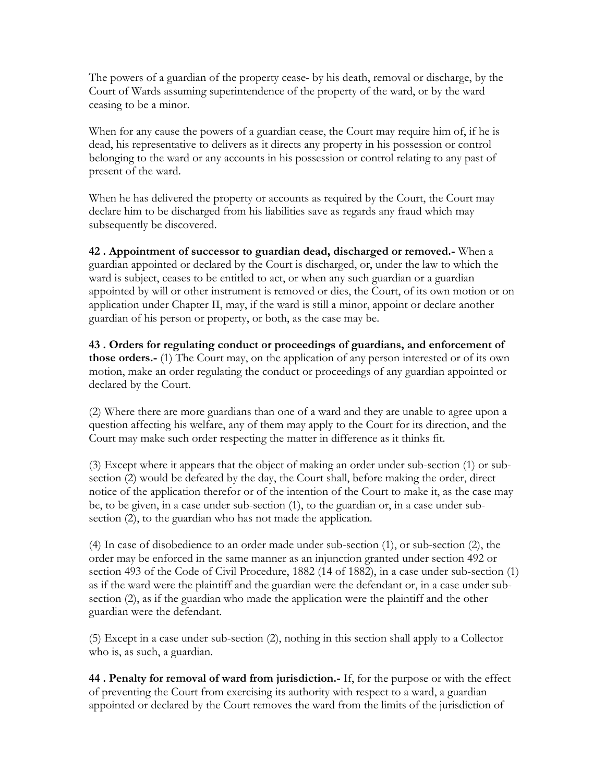The powers of a guardian of the property cease- by his death, removal or discharge, by the Court of Wards assuming superintendence of the property of the ward, or by the ward ceasing to be a minor.

When for any cause the powers of a guardian cease, the Court may require him of, if he is dead, his representative to delivers as it directs any property in his possession or control belonging to the ward or any accounts in his possession or control relating to any past of present of the ward.

When he has delivered the property or accounts as required by the Court, the Court may declare him to be discharged from his liabilities save as regards any fraud which may subsequently be discovered.

**42 . Appointment of successor to guardian dead, discharged or removed.-** When a guardian appointed or declared by the Court is discharged, or, under the law to which the ward is subject, ceases to be entitled to act, or when any such guardian or a guardian appointed by will or other instrument is removed or dies, the Court, of its own motion or on application under Chapter II, may, if the ward is still a minor, appoint or declare another guardian of his person or property, or both, as the case may be.

**43 . Orders for regulating conduct or proceedings of guardians, and enforcement of those orders.-** (1) The Court may, on the application of any person interested or of its own motion, make an order regulating the conduct or proceedings of any guardian appointed or declared by the Court.

(2) Where there are more guardians than one of a ward and they are unable to agree upon a question affecting his welfare, any of them may apply to the Court for its direction, and the Court may make such order respecting the matter in difference as it thinks fit.

(3) Except where it appears that the object of making an order under sub-section (1) or subsection (2) would be defeated by the day, the Court shall, before making the order, direct notice of the application therefor or of the intention of the Court to make it, as the case may be, to be given, in a case under sub-section (1), to the guardian or, in a case under subsection (2), to the guardian who has not made the application.

(4) In case of disobedience to an order made under sub-section (1), or sub-section (2), the order may be enforced in the same manner as an injunction granted under section 492 or section 493 of the Code of Civil Procedure, 1882 (14 of 1882), in a case under sub-section (1) as if the ward were the plaintiff and the guardian were the defendant or, in a case under subsection (2), as if the guardian who made the application were the plaintiff and the other guardian were the defendant.

(5) Except in a case under sub-section (2), nothing in this section shall apply to a Collector who is, as such, a guardian.

**44 . Penalty for removal of ward from jurisdiction.-** If, for the purpose or with the effect of preventing the Court from exercising its authority with respect to a ward, a guardian appointed or declared by the Court removes the ward from the limits of the jurisdiction of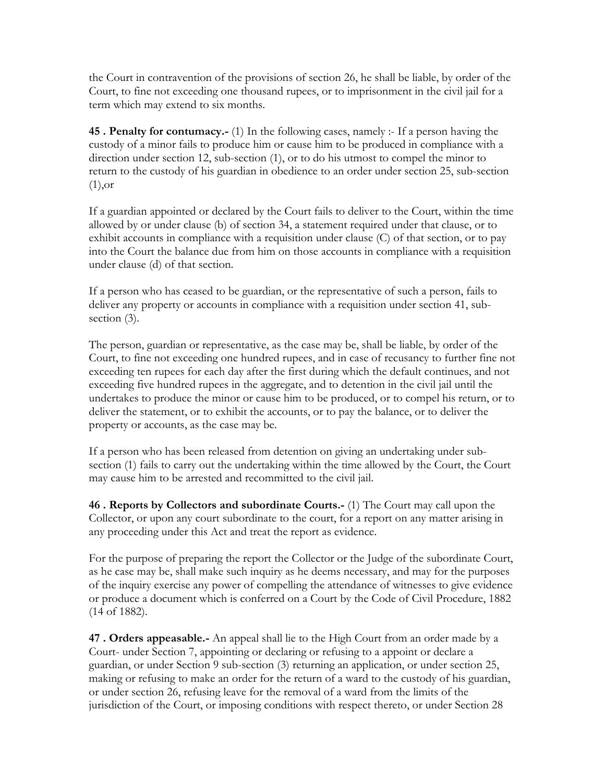the Court in contravention of the provisions of section 26, he shall be liable, by order of the Court, to fine not exceeding one thousand rupees, or to imprisonment in the civil jail for a term which may extend to six months.

**45 . Penalty for contumacy.-** (1) In the following cases, namely :- If a person having the custody of a minor fails to produce him or cause him to be produced in compliance with a direction under section 12, sub-section (1), or to do his utmost to compel the minor to return to the custody of his guardian in obedience to an order under section 25, sub-section (1),or

If a guardian appointed or declared by the Court fails to deliver to the Court, within the time allowed by or under clause (b) of section 34, a statement required under that clause, or to exhibit accounts in compliance with a requisition under clause (C) of that section, or to pay into the Court the balance due from him on those accounts in compliance with a requisition under clause (d) of that section.

If a person who has ceased to be guardian, or the representative of such a person, fails to deliver any property or accounts in compliance with a requisition under section 41, subsection (3).

The person, guardian or representative, as the case may be, shall be liable, by order of the Court, to fine not exceeding one hundred rupees, and in case of recusancy to further fine not exceeding ten rupees for each day after the first during which the default continues, and not exceeding five hundred rupees in the aggregate, and to detention in the civil jail until the undertakes to produce the minor or cause him to be produced, or to compel his return, or to deliver the statement, or to exhibit the accounts, or to pay the balance, or to deliver the property or accounts, as the case may be.

If a person who has been released from detention on giving an undertaking under subsection (1) fails to carry out the undertaking within the time allowed by the Court, the Court may cause him to be arrested and recommitted to the civil jail.

**46 . Reports by Collectors and subordinate Courts.-** (1) The Court may call upon the Collector, or upon any court subordinate to the court, for a report on any matter arising in any proceeding under this Act and treat the report as evidence.

For the purpose of preparing the report the Collector or the Judge of the subordinate Court, as he case may be, shall make such inquiry as he deems necessary, and may for the purposes of the inquiry exercise any power of compelling the attendance of witnesses to give evidence or produce a document which is conferred on a Court by the Code of Civil Procedure, 1882 (14 of 1882).

**47 . Orders appeasable.-** An appeal shall lie to the High Court from an order made by a Court- under Section 7, appointing or declaring or refusing to a appoint or declare a guardian, or under Section 9 sub-section (3) returning an application, or under section 25, making or refusing to make an order for the return of a ward to the custody of his guardian, or under section 26, refusing leave for the removal of a ward from the limits of the jurisdiction of the Court, or imposing conditions with respect thereto, or under Section 28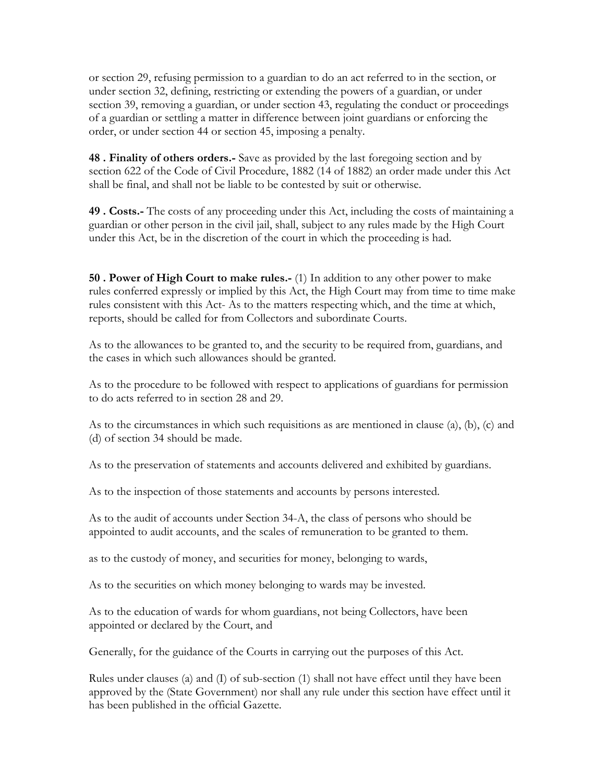or section 29, refusing permission to a guardian to do an act referred to in the section, or under section 32, defining, restricting or extending the powers of a guardian, or under section 39, removing a guardian, or under section 43, regulating the conduct or proceedings of a guardian or settling a matter in difference between joint guardians or enforcing the order, or under section 44 or section 45, imposing a penalty.

**48 . Finality of others orders.-** Save as provided by the last foregoing section and by section 622 of the Code of Civil Procedure, 1882 (14 of 1882) an order made under this Act shall be final, and shall not be liable to be contested by suit or otherwise.

**49 . Costs.-** The costs of any proceeding under this Act, including the costs of maintaining a guardian or other person in the civil jail, shall, subject to any rules made by the High Court under this Act, be in the discretion of the court in which the proceeding is had.

**50 . Power of High Court to make rules.-** (1) In addition to any other power to make rules conferred expressly or implied by this Act, the High Court may from time to time make rules consistent with this Act- As to the matters respecting which, and the time at which, reports, should be called for from Collectors and subordinate Courts.

As to the allowances to be granted to, and the security to be required from, guardians, and the cases in which such allowances should be granted.

As to the procedure to be followed with respect to applications of guardians for permission to do acts referred to in section 28 and 29.

As to the circumstances in which such requisitions as are mentioned in clause (a), (b), (c) and (d) of section 34 should be made.

As to the preservation of statements and accounts delivered and exhibited by guardians.

As to the inspection of those statements and accounts by persons interested.

As to the audit of accounts under Section 34-A, the class of persons who should be appointed to audit accounts, and the scales of remuneration to be granted to them.

as to the custody of money, and securities for money, belonging to wards,

As to the securities on which money belonging to wards may be invested.

As to the education of wards for whom guardians, not being Collectors, have been appointed or declared by the Court, and

Generally, for the guidance of the Courts in carrying out the purposes of this Act.

Rules under clauses (a) and (I) of sub-section (1) shall not have effect until they have been approved by the (State Government) nor shall any rule under this section have effect until it has been published in the official Gazette.